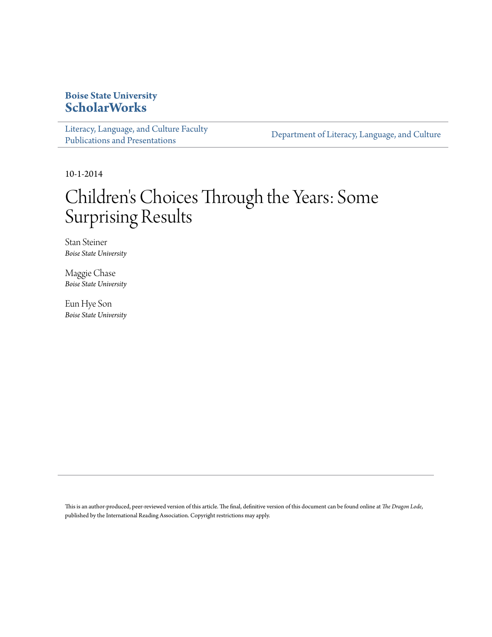# **Boise State University [ScholarWorks](https://scholarworks.boisestate.edu)**

[Literacy, Language, and Culture Faculty](https://scholarworks.boisestate.edu/literacy_facpubs) [Publications and Presentations](https://scholarworks.boisestate.edu/literacy_facpubs)

[Department of Literacy, Language, and Culture](https://scholarworks.boisestate.edu/literacy)

10-1-2014

# Children 's Choices Through the Years: Some Surprising Results

Stan Steiner *Boise State University*

Maggie Chase *Boise State University*

Eun Hye Son *Boise State University*

This is an author-produced, peer-reviewed version of this article. The final, definitive version of this document can be found online at *The Dragon Lode*, published by the International Reading Association. Copyright restrictions may apply.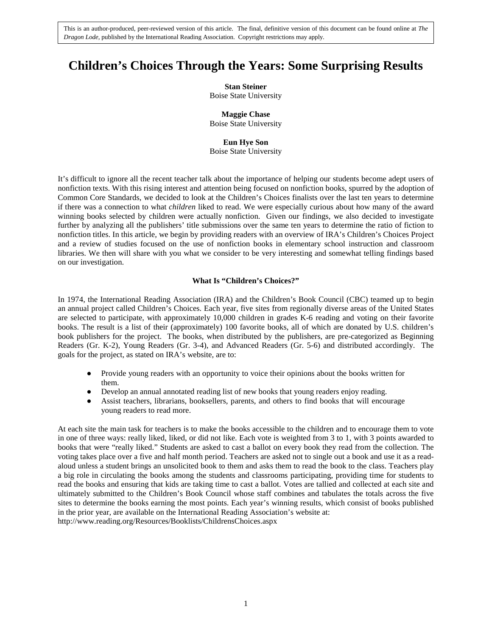# **Children's Choices Through the Years: Some Surprising Results**

**Stan Steiner**

Boise State University

**Maggie Chase** Boise State University

## **Eun Hye Son**

Boise State University

It's difficult to ignore all the recent teacher talk about the importance of helping our students become adept users of nonfiction texts. With this rising interest and attention being focused on nonfiction books, spurred by the adoption of Common Core Standards, we decided to look at the Children's Choices finalists over the last ten years to determine if there was a connection to what *children* liked to read. We were especially curious about how many of the award winning books selected by children were actually nonfiction. Given our findings, we also decided to investigate further by analyzing all the publishers' title submissions over the same ten years to determine the ratio of fiction to nonfiction titles. In this article, we begin by providing readers with an overview of IRA's Children's Choices Project and a review of studies focused on the use of nonfiction books in elementary school instruction and classroom libraries. We then will share with you what we consider to be very interesting and somewhat telling findings based on our investigation.

## **What Is "Children's Choices?"**

In 1974, the International Reading Association (IRA) and the Children's Book Council (CBC) teamed up to begin an annual project called Children's Choices. Each year, five sites from regionally diverse areas of the United States are selected to participate, with approximately 10,000 children in grades K-6 reading and voting on their favorite books. The result is a list of their (approximately) 100 favorite books, all of which are donated by U.S. children's book publishers for the project. The books, when distributed by the publishers, are pre-categorized as Beginning Readers (Gr. K-2), Young Readers (Gr. 3-4), and Advanced Readers (Gr. 5-6) and distributed accordingly. The goals for the project, as stated on IRA's website, are to:

- Provide young readers with an opportunity to voice their opinions about the books written for them.
- Develop an annual annotated reading list of new books that young readers enjoy reading.
- Assist teachers, librarians, booksellers, parents, and others to find books that will encourage young readers to read more.

At each site the main task for teachers is to make the books accessible to the children and to encourage them to vote in one of three ways: really liked, liked, or did not like. Each vote is weighted from 3 to 1, with 3 points awarded to books that were "really liked." Students are asked to cast a ballot on every book they read from the collection. The voting takes place over a five and half month period. Teachers are asked not to single out a book and use it as a readaloud unless a student brings an unsolicited book to them and asks them to read the book to the class. Teachers play a big role in circulating the books among the students and classrooms participating, providing time for students to read the books and ensuring that kids are taking time to cast a ballot. Votes are tallied and collected at each site and ultimately submitted to the Children's Book Council whose staff combines and tabulates the totals across the five sites to determine the books earning the most points. Each year's winning results, which consist of books published in the prior year, are available on the International Reading Association's website at: http://www.reading.org/Resources/Booklists/ChildrensChoices.aspx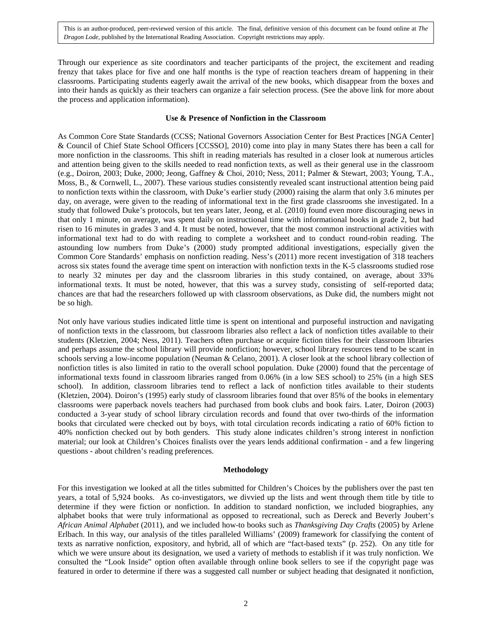Through our experience as site coordinators and teacher participants of the project, the excitement and reading frenzy that takes place for five and one half months is the type of reaction teachers dream of happening in their classrooms. Participating students eagerly await the arrival of the new books, which disappear from the boxes and into their hands as quickly as their teachers can organize a fair selection process. (See the above link for more about the process and application information).

#### **Use & Presence of Nonfiction in the Classroom**

As Common Core State Standards (CCSS; National Governors Association Center for Best Practices [NGA Center] & Council of Chief State School Officers [CCSSO], 2010) come into play in many States there has been a call for more nonfiction in the classrooms. This shift in reading materials has resulted in a closer look at numerous articles and attention being given to the skills needed to read nonfiction texts, as well as their general use in the classroom (e.g., Doiron, 2003; Duke, 2000; Jeong, Gaffney & Choi, 2010; Ness, 2011; Palmer & Stewart, 2003; Young, T.A., Moss, B., & Cornwell, L., 2007). These various studies consistently revealed scant instructional attention being paid to nonfiction texts within the classroom, with Duke's earlier study (2000) raising the alarm that only 3.6 minutes per day, on average, were given to the reading of informational text in the first grade classrooms she investigated. In a study that followed Duke's protocols, but ten years later, Jeong, et al. (2010) found even more discouraging news in that only 1 minute, on average, was spent daily on instructional time with informational books in grade 2, but had risen to 16 minutes in grades 3 and 4. It must be noted, however, that the most common instructional activities with informational text had to do with reading to complete a worksheet and to conduct round-robin reading. The astounding low numbers from Duke's (2000) study prompted additional investigations, especially given the Common Core Standards' emphasis on nonfiction reading. Ness's (2011) more recent investigation of 318 teachers across six states found the average time spent on interaction with nonfiction texts in the K-5 classrooms studied rose to nearly 32 minutes per day and the classroom libraries in this study contained, on average, about 33% informational texts. It must be noted, however, that this was a survey study, consisting of self-reported data; chances are that had the researchers followed up with classroom observations, as Duke did, the numbers might not be so high.

Not only have various studies indicated little time is spent on intentional and purposeful instruction and navigating of nonfiction texts in the classroom, but classroom libraries also reflect a lack of nonfiction titles available to their students (Kletzien, 2004; Ness, 2011). Teachers often purchase or acquire fiction titles for their classroom libraries and perhaps assume the school library will provide nonfiction; however, school library resources tend to be scant in schools serving a low-income population (Neuman & Celano, 2001). A closer look at the school library collection of nonfiction titles is also limited in ratio to the overall school population. Duke (2000) found that the percentage of informational texts found in classroom libraries ranged from 0.06% (in a low SES school) to 25% (in a high SES school). In addition, classroom libraries tend to reflect a lack of nonfiction titles available to their students (Kletzien, 2004). Doiron's (1995) early study of classroom libraries found that over 85% of the books in elementary classrooms were paperback novels teachers had purchased from book clubs and book fairs. Later, Doiron (2003) conducted a 3-year study of school library circulation records and found that over two-thirds of the information books that circulated were checked out by boys, with total circulation records indicating a ratio of 60% fiction to 40% nonfiction checked out by both genders. This study alone indicates children's strong interest in nonfiction material; our look at Children's Choices finalists over the years lends additional confirmation - and a few lingering questions - about children's reading preferences.

#### **Methodology**

For this investigation we looked at all the titles submitted for Children's Choices by the publishers over the past ten years, a total of 5,924 books. As co-investigators, we divvied up the lists and went through them title by title to determine if they were fiction or nonfiction. In addition to standard nonfiction, we included biographies, any alphabet books that were truly informational as opposed to recreational, such as Dereck and Beverly Joubert's *African Animal Alphabet* (2011), and we included how-to books such as *Thanksgiving Day Crafts* (2005) by Arlene Erlbach. In this way, our analysis of the titles paralleled Williams' (2009) framework for classifying the content of texts as narrative nonfiction, expository, and hybrid, all of which are "fact-based texts" (p. 252). On any title for which we were unsure about its designation, we used a variety of methods to establish if it was truly nonfiction. We consulted the "Look Inside" option often available through online book sellers to see if the copyright page was featured in order to determine if there was a suggested call number or subject heading that designated it nonfiction,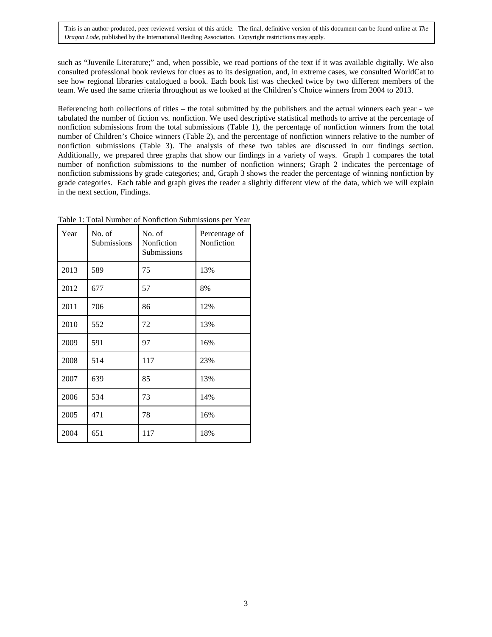such as "Juvenile Literature;" and, when possible, we read portions of the text if it was available digitally. We also consulted professional book reviews for clues as to its designation, and, in extreme cases, we consulted WorldCat to see how regional libraries catalogued a book. Each book list was checked twice by two different members of the team. We used the same criteria throughout as we looked at the Children's Choice winners from 2004 to 2013.

Referencing both collections of titles – the total submitted by the publishers and the actual winners each year - we tabulated the number of fiction vs. nonfiction. We used descriptive statistical methods to arrive at the percentage of nonfiction submissions from the total submissions (Table 1), the percentage of nonfiction winners from the total number of Children's Choice winners (Table 2), and the percentage of nonfiction winners relative to the number of nonfiction submissions (Table 3). The analysis of these two tables are discussed in our findings section. Additionally, we prepared three graphs that show our findings in a variety of ways. Graph 1 compares the total number of nonfiction submissions to the number of nonfiction winners; Graph 2 indicates the percentage of nonfiction submissions by grade categories; and, Graph 3 shows the reader the percentage of winning nonfiction by grade categories. Each table and graph gives the reader a slightly different view of the data, which we will explain in the next section, Findings.

| Year | No. of<br>Submissions | No. of<br>Nonfiction<br>Submissions | Percentage of<br>Nonfiction |
|------|-----------------------|-------------------------------------|-----------------------------|
| 2013 | 589                   | 75                                  | 13%                         |
| 2012 | 677                   | 57                                  | 8%                          |
| 2011 | 706                   | 86                                  | 12%                         |
| 2010 | 552                   | 72                                  | 13%                         |
| 2009 | 591                   | 97                                  | 16%                         |
| 2008 | 514                   | 117                                 | 23%                         |
| 2007 | 639                   | 85                                  | 13%                         |
| 2006 | 534                   | 73                                  | 14%                         |
| 2005 | 471                   | 78                                  | 16%                         |
| 2004 | 651                   | 117                                 | 18%                         |

Table 1: Total Number of Nonfiction Submissions per Year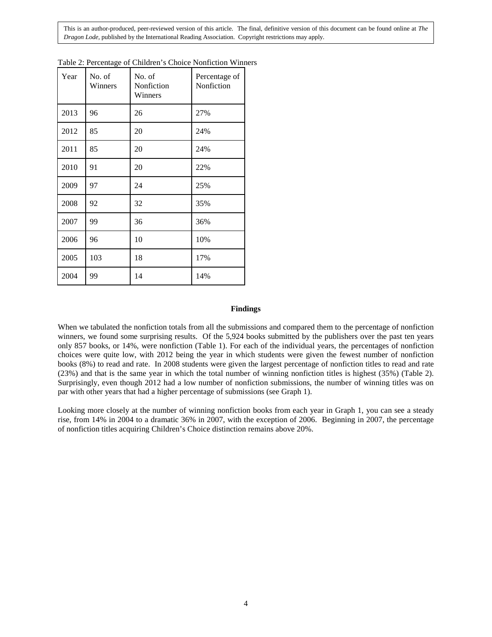| Year | No. of<br>Winners | No. of<br>Nonfiction<br>Winners | Percentage of<br>Nonfiction |
|------|-------------------|---------------------------------|-----------------------------|
| 2013 | 96                | 26                              | 27%                         |
| 2012 | 85                | 20                              | 24%                         |
| 2011 | 85                | 20                              | 24%                         |
| 2010 | 91                | 20                              | 22%                         |
| 2009 | 97                | 24                              | 25%                         |
| 2008 | 92                | 32                              | 35%                         |
| 2007 | 99                | 36                              | 36%                         |
| 2006 | 96                | 10                              | 10%                         |
| 2005 | 103               | 18                              | 17%                         |
| 2004 | 99                | 14                              | 14%                         |

| Table 2: Percentage of Children's Choice Nonfiction Winners |  |  |  |  |
|-------------------------------------------------------------|--|--|--|--|
|-------------------------------------------------------------|--|--|--|--|

#### **Findings**

When we tabulated the nonfiction totals from all the submissions and compared them to the percentage of nonfiction winners, we found some surprising results. Of the 5,924 books submitted by the publishers over the past ten years only 857 books, or 14%, were nonfiction (Table 1). For each of the individual years, the percentages of nonfiction choices were quite low, with 2012 being the year in which students were given the fewest number of nonfiction books (8%) to read and rate. In 2008 students were given the largest percentage of nonfiction titles to read and rate (23%) and that is the same year in which the total number of winning nonfiction titles is highest (35%) (Table 2). Surprisingly, even though 2012 had a low number of nonfiction submissions, the number of winning titles was on par with other years that had a higher percentage of submissions (see Graph 1).

Looking more closely at the number of winning nonfiction books from each year in Graph 1, you can see a steady rise, from 14% in 2004 to a dramatic 36% in 2007, with the exception of 2006. Beginning in 2007, the percentage of nonfiction titles acquiring Children's Choice distinction remains above 20%.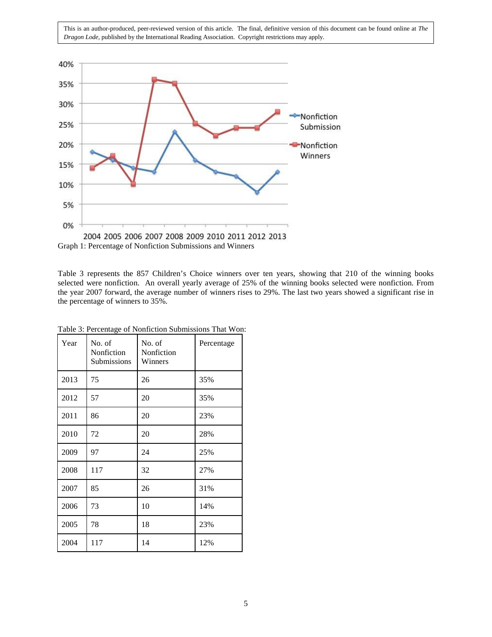

Graph 1: Percentage of Nonfiction Submissions and Winners

Table 3 represents the 857 Children's Choice winners over ten years, showing that 210 of the winning books selected were nonfiction. An overall yearly average of 25% of the winning books selected were nonfiction. From the year 2007 forward, the average number of winners rises to 29%. The last two years showed a significant rise in the percentage of winners to 35%.

| Year | No. of<br>Nonfiction<br><b>Submissions</b> | No. of<br>Nonfiction<br>Winners | Percentage |
|------|--------------------------------------------|---------------------------------|------------|
| 2013 | 75                                         | 26                              | 35%        |
| 2012 | 57                                         | 20                              | 35%        |
| 2011 | 86                                         | 20                              | 23%        |
| 2010 | 72                                         | 20                              | 28%        |
| 2009 | 97                                         | 24                              | 25%        |
| 2008 | 117                                        | 32                              | 27%        |
| 2007 | 85                                         | 26                              | 31%        |
| 2006 | 73                                         | 10                              | 14%        |
| 2005 | 78                                         | 18                              | 23%        |
| 2004 | 117                                        | 14                              | 12%        |

Table 3: Percentage of Nonfiction Submissions That Won: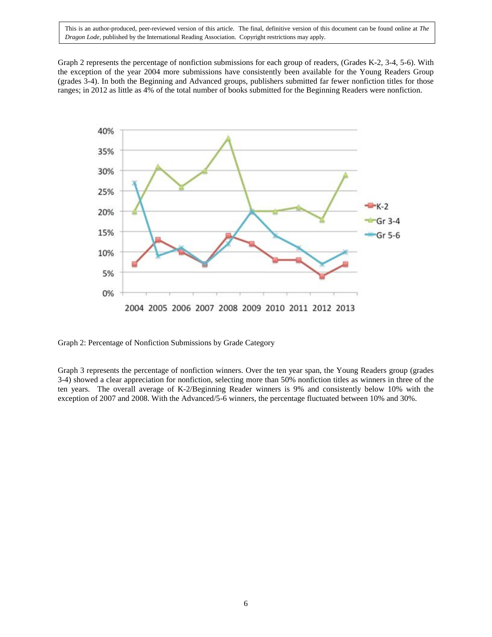Graph 2 represents the percentage of nonfiction submissions for each group of readers, (Grades K-2, 3-4, 5-6). With the exception of the year 2004 more submissions have consistently been available for the Young Readers Group (grades 3-4). In both the Beginning and Advanced groups, publishers submitted far fewer nonfiction titles for those ranges; in 2012 as little as 4% of the total number of books submitted for the Beginning Readers were nonfiction.



Graph 2: Percentage of Nonfiction Submissions by Grade Category

Graph 3 represents the percentage of nonfiction winners. Over the ten year span, the Young Readers group (grades 3-4) showed a clear appreciation for nonfiction, selecting more than 50% nonfiction titles as winners in three of the ten years. The overall average of K-2/Beginning Reader winners is 9% and consistently below 10% with the exception of 2007 and 2008. With the Advanced/5-6 winners, the percentage fluctuated between 10% and 30%.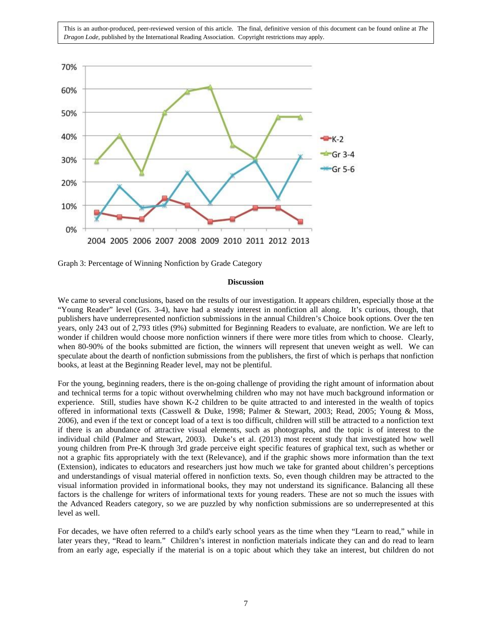

Graph 3: Percentage of Winning Nonfiction by Grade Category

#### **Discussion**

We came to several conclusions, based on the results of our investigation. It appears children, especially those at the "Young Reader" level (Grs. 3-4), have had a steady interest in nonfiction all along. It's curious, though, that publishers have underrepresented nonfiction submissions in the annual Children's Choice book options. Over the ten years, only 243 out of 2,793 titles (9%) submitted for Beginning Readers to evaluate, are nonfiction. We are left to wonder if children would choose more nonfiction winners if there were more titles from which to choose. Clearly, when 80-90% of the books submitted are fiction, the winners will represent that uneven weight as well. We can speculate about the dearth of nonfiction submissions from the publishers, the first of which is perhaps that nonfiction books, at least at the Beginning Reader level, may not be plentiful.

For the young, beginning readers, there is the on-going challenge of providing the right amount of information about and technical terms for a topic without overwhelming children who may not have much background information or experience. Still, studies have shown K-2 children to be quite attracted to and interested in the wealth of topics offered in informational texts (Casswell & Duke, 1998; Palmer & Stewart, 2003; Read, 2005; Young & Moss, 2006), and even if the text or concept load of a text is too difficult, children will still be attracted to a nonfiction text if there is an abundance of attractive visual elements, such as photographs, and the topic is of interest to the individual child (Palmer and Stewart, 2003). Duke's et al. (2013) most recent study that investigated how well young children from Pre-K through 3rd grade perceive eight specific features of graphical text, such as whether or not a graphic fits appropriately with the text (Relevance), and if the graphic shows more information than the text (Extension), indicates to educators and researchers just how much we take for granted about children's perceptions and understandings of visual material offered in nonfiction texts. So, even though children may be attracted to the visual information provided in informational books, they may not understand its significance. Balancing all these factors is the challenge for writers of informational texts for young readers. These are not so much the issues with the Advanced Readers category, so we are puzzled by why nonfiction submissions are so underrepresented at this level as well.

For decades, we have often referred to a child's early school years as the time when they "Learn to read," while in later years they, "Read to learn." Children's interest in nonfiction materials indicate they can and do read to learn from an early age, especially if the material is on a topic about which they take an interest, but children do not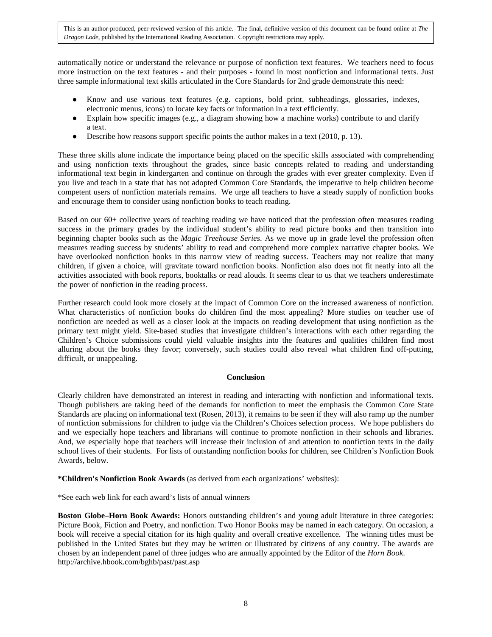automatically notice or understand the relevance or purpose of nonfiction text features. We teachers need to focus more instruction on the text features - and their purposes - found in most nonfiction and informational texts. Just three sample informational text skills articulated in the Core Standards for 2nd grade demonstrate this need:

- Know and use various text features (e.g. captions, bold print, subheadings, glossaries, indexes, electronic menus, icons) to locate key facts or information in a text efficiently.
- Explain how specific images (e.g., a diagram showing how a machine works) contribute to and clarify a text.
- Describe how reasons support specific points the author makes in a text (2010, p. 13).

These three skills alone indicate the importance being placed on the specific skills associated with comprehending and using nonfiction texts throughout the grades, since basic concepts related to reading and understanding informational text begin in kindergarten and continue on through the grades with ever greater complexity. Even if you live and teach in a state that has not adopted Common Core Standards, the imperative to help children become competent users of nonfiction materials remains. We urge all teachers to have a steady supply of nonfiction books and encourage them to consider using nonfiction books to teach reading.

Based on our 60+ collective years of teaching reading we have noticed that the profession often measures reading success in the primary grades by the individual student's ability to read picture books and then transition into beginning chapter books such as the *Magic Treehouse Series*. As we move up in grade level the profession often measures reading success by students' ability to read and comprehend more complex narrative chapter books. We have overlooked nonfiction books in this narrow view of reading success. Teachers may not realize that many children, if given a choice, will gravitate toward nonfiction books. Nonfiction also does not fit neatly into all the activities associated with book reports, booktalks or read alouds. It seems clear to us that we teachers underestimate the power of nonfiction in the reading process.

Further research could look more closely at the impact of Common Core on the increased awareness of nonfiction. What characteristics of nonfiction books do children find the most appealing? More studies on teacher use of nonfiction are needed as well as a closer look at the impacts on reading development that using nonfiction as the primary text might yield. Site-based studies that investigate children's interactions with each other regarding the Children's Choice submissions could yield valuable insights into the features and qualities children find most alluring about the books they favor; conversely, such studies could also reveal what children find off-putting, difficult, or unappealing.

### **Conclusion**

Clearly children have demonstrated an interest in reading and interacting with nonfiction and informational texts. Though publishers are taking heed of the demands for nonfiction to meet the emphasis the Common Core State Standards are placing on informational text (Rosen, 2013), it remains to be seen if they will also ramp up the number of nonfiction submissions for children to judge via the Children's Choices selection process. We hope publishers do and we especially hope teachers and librarians will continue to promote nonfiction in their schools and libraries. And, we especially hope that teachers will increase their inclusion of and attention to nonfiction texts in the daily school lives of their students. For lists of outstanding nonfiction books for children, see Children's Nonfiction Book Awards, below.

**\*Children's Nonfiction Book Awards** (as derived from each organizations' websites):

\*See each web link for each award's lists of annual winners

**Boston Globe–Horn Book Awards:** Honors outstanding children's and young adult literature in three categories: Picture Book, Fiction and Poetry, and nonfiction. Two Honor Books may be named in each category. On occasion, a book will receive a special citation for its high quality and overall creative excellence. The winning titles must be published in the United States but they may be written or illustrated by citizens of any country. The awards are chosen by an independent panel of three judges who are annually appointed by the Editor of the *Horn Book*. http://archive.hbook.com/bghb/past/past.asp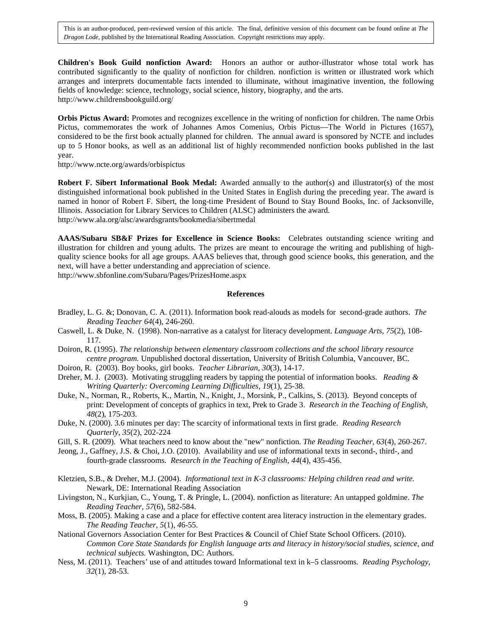**Children's Book Guild nonfiction Award:** Honors an author or author-illustrator whose total work has contributed significantly to the quality of nonfiction for children. nonfiction is written or illustrated work which arranges and interprets documentable facts intended to illuminate, without imaginative invention, the following fields of knowledge: science, technology, social science, history, biography, and the arts. http://www.childrensbookguild.org/

**Orbis Pictus Award:** Promotes and recognizes excellence in the writing of nonfiction for children. The name Orbis Pictus, commemorates the work of Johannes Amos Comenius, Orbis Pictus—The World in Pictures (1657), considered to be the first book actually planned for children. The annual award is sponsored by NCTE and includes up to 5 Honor books, as well as an additional list of highly recommended nonfiction books published in the last year.

http://www.ncte.org/awards/orbispictus

**Robert F. Sibert Informational Book Medal:** Awarded annually to the author(s) and illustrator(s) of the most distinguished informational book published in the United States in English during the preceding year. The award is named in honor of Robert F. Sibert, the long-time President of Bound to Stay Bound Books, Inc. of Jacksonville, Illinois. Association for Library Services to Children (ALSC) administers the award. http://www.ala.org/alsc/awardsgrants/bookmedia/sibertmedal

**AAAS/Subaru SB&F Prizes for Excellence in Science Books:** Celebrates outstanding science writing and illustration for children and young adults. The prizes are meant to encourage the writing and publishing of highquality science books for all age groups. AAAS believes that, through good science books, this generation, and the next, will have a better understanding and appreciation of science.

http://www.sbfonline.com/Subaru/Pages/PrizesHome.aspx

#### **References**

- Bradley, L. G. &; Donovan, C. A. (2011). Information book read-alouds as models for second-grade authors. *The Reading Teacher 64*(4), 246-260.
- Caswell, L. & Duke, N. (1998). Non-narrative as a catalyst for literacy development. *Language Arts, 75*(2), 108- 117.
- Doiron*,* R*.* (1995). *The relationship between elementary classroom collections and the school library resource centre program.* Unpublished doctoral dissertation, University of British Columbia, Vancouver, BC.
- Doiron, R. (2003). Boy books, girl books. *Teacher Librarian*, *30*(3), 14-17.
- Dreher, M. J. (2003). Motivating struggling readers by tapping the potential of information books. *Reading & Writing Quarterly: Overcoming Learning Difficulties*, *19*(1), 25-38.
- Duke, N., Norman, R., Roberts, K., Martin, N., Knight, J., Morsink, P., Calkins, S. (2013). Beyond concepts of print: Development of concepts of graphics in text, Prek to Grade 3. *Research in the Teaching of English, 48*(2), 175-203.
- Duke, N. (2000). 3.6 minutes per day: The scarcity of informational texts in first grade. *Reading Research Quarterly, 35*(2), 202-224
- Gill, S. R. (2009). What teachers need to know about the "new" nonfiction. *The Reading Teacher, 63*(4), 260-267.
- Jeong, J., Gaffney, J.S. & Choi, J.O. (2010). Availability and use of informational texts in second-, third-, and fourth-grade classrooms. *Research in the Teaching of English, 44*(4), 435-456.
- Kletzien, S.B., & Dreher, M.J. (2004). *Informational text in K-3 classrooms: Helping children read and write.* Newark, DE: International Reading Association
- Livingston, N., Kurkjian, C., Young, T. & Pringle, L. (2004). nonfiction as literature: An untapped goldmine. *The Reading Teacher*, *57*(6), 582-584.
- Moss, B. (2005). Making a case and a place for effective content area literacy instruction in the elementary grades. *The Reading Teacher*, *5*(1), *4*6-55.
- National Governors Association Center for Best Practices & Council of Chief State School Officers. (2010). *Common Core State Standards for English language arts and literacy in history/social studies, science, and technical subjects.* Washington, DC: Authors.
- Ness, M. (2011). Teachers' use of and attitudes toward Informational text in k–5 classrooms. *Reading Psychology, 32*(1), 28-53.